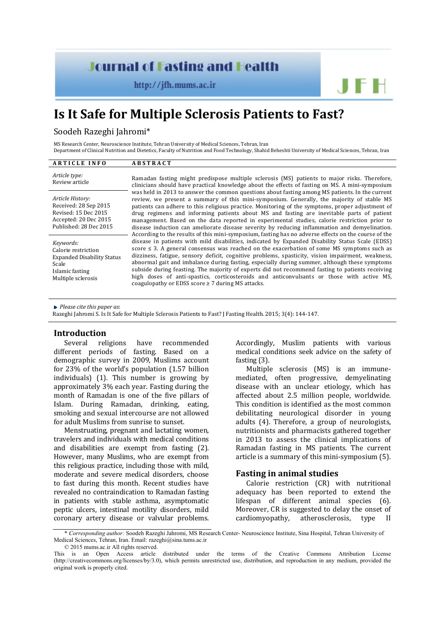## **Journal of Fasting and Health**

 $http://jfh.mums.ac.in$ 

# **Is It Safe for Multiple Sclerosis Patients to Fast?**

## Soodeh Razeghi Jahromi\*

MS Research Center, Neuroscience Institute, Tehran University of Medical Sciences, Tehran, Iran

Department of Clinical Nutrition and Dietetics, Faculty of Nutrition and Food Technology, Shahid Beheshti University of Medical Sciences, Tehran, Iran

| <b>ARTICLE INFO</b>                                                                                                     | <b>ABSTRACT</b>                                                                                                                                                                                                                                                                                                                                                                                                                                                                                                                                                                                                                                                                                                                                                                                                                                                                                                                                                                                                                                                                                                                                                                                                                                                                                                                                                                                                                                                                                                                                                                   |
|-------------------------------------------------------------------------------------------------------------------------|-----------------------------------------------------------------------------------------------------------------------------------------------------------------------------------------------------------------------------------------------------------------------------------------------------------------------------------------------------------------------------------------------------------------------------------------------------------------------------------------------------------------------------------------------------------------------------------------------------------------------------------------------------------------------------------------------------------------------------------------------------------------------------------------------------------------------------------------------------------------------------------------------------------------------------------------------------------------------------------------------------------------------------------------------------------------------------------------------------------------------------------------------------------------------------------------------------------------------------------------------------------------------------------------------------------------------------------------------------------------------------------------------------------------------------------------------------------------------------------------------------------------------------------------------------------------------------------|
| Article type:<br>Review article                                                                                         | Ramadan fasting might predispose multiple sclerosis (MS) patients to major risks. Therefore,<br>clinicians should have practical knowledge about the effects of fasting on MS. A mini-symposium<br>was held in 2013 to answer the common questions about fasting among MS patients. In the current<br>review, we present a summary of this mini-symposium. Generally, the majority of stable MS<br>patients can adhere to this religious practice. Monitoring of the symptoms, proper adjustment of<br>drug regimens and informing patients about MS and fasting are inevitable parts of patient<br>management. Based on the data reported in experimental studies, calorie restriction prior to<br>disease induction can ameliorate disease severity by reducing inflammation and demyelination.<br>According to the results of this mini-symposium, fasting has no adverse effects on the course of the<br>disease in patients with mild disabilities, indicated by Expanded Disability Status Scale (EDSS)<br>score $\leq$ 3. A general consensus was reached on the exacerbation of some MS symptoms such as<br>dizziness, fatigue, sensory deficit, cognitive problems, spasticity, vision impairment, weakness,<br>abnormal gait and imbalance during fasting, especially during summer, although these symptoms<br>subside during feasting. The majority of experts did not recommend fasting to patients receiving<br>high doses of anti-spastics, corticosteroids and anticonvulsants or those with active MS,<br>coagulopathy or EDSS score $\geq$ 7 during MS attacks. |
| Article History:<br>Received: 28 Sep 2015<br>Revised: 15 Dec 2015<br>Accepted: 20 Dec 2015<br>Published: 28 Dec 2015    |                                                                                                                                                                                                                                                                                                                                                                                                                                                                                                                                                                                                                                                                                                                                                                                                                                                                                                                                                                                                                                                                                                                                                                                                                                                                                                                                                                                                                                                                                                                                                                                   |
| Keywords:<br>Calorie restriction<br><b>Expanded Disability Status</b><br>Scale<br>Islamic fasting<br>Multiple sclerosis |                                                                                                                                                                                                                                                                                                                                                                                                                                                                                                                                                                                                                                                                                                                                                                                                                                                                                                                                                                                                                                                                                                                                                                                                                                                                                                                                                                                                                                                                                                                                                                                   |

*Please cite this paper as*:

Razeghi Jahromi S. Is It Safe for Multiple Sclerosis Patients to Fast? J Fasting Health. 2015; 3(4): 144-147.

## **Introduction**

Several religions have recommended different periods of fasting. Based on a demographic survey in 2009, Muslims account for 23% of the world's population (1.57 billion individuals) (1). This number is growing by approximately 3% each year. Fasting during the month of Ramadan is one of the five pillars of Islam. During Ramadan, drinking, eating, smoking and sexual intercourse are not allowed for adult Muslims from sunrise to sunset.

Menstruating, pregnant and lactating women, travelers and individuals with medical conditions and disabilities are exempt from fasting (2). However, many Muslims, who are exempt from this religious practice, including those with mild, moderate and severe medical disorders, choose to fast during this month. Recent studies have revealed no contraindication to Ramadan fasting in patients with stable asthma, asymptomatic peptic ulcers, intestinal motility disorders, mild coronary artery disease or valvular problems.

Accordingly, Muslim patients with various medical conditions seek advice on the safety of fasting (3).

JFH

Multiple sclerosis (MS) is an immunemediated, often progressive, demyelinating disease with an unclear etiology, which has affected about 2.5 million people, worldwide. This condition is identified as the most common debilitating neurological disorder in young adults (4). Therefore, a group of neurologists, nutritionists and pharmacists gathered together in 2013 to assess the clinical implications of Ramadan fasting in MS patients. The current article is a summary of this mini-symposium (5).

## **Fasting in animal studies**

Calorie restriction (CR) with nutritional adequacy has been reported to extend the lifespan of different animal species (6). Moreover, CR is suggested to delay the onset of cardiomyopathy, atherosclerosis, type II cardiomyopathy,

<sup>\*</sup> *Corresponding author:* Soodeh Razeghi Jahromi, MS Research Center- Neuroscience Institute, Sina Hospital, Tehran University of Medical Sciences, Tehran, Iran. Email: [razeghi@sina.tums.ac.ir](mailto:razeghi@sina.tums.ac.ir)

<sup>© 2015</sup> mums.ac.ir All rights reserved.

This is an Open Access article distributed under the terms of the Creative Commons Attribution License (http://creativecommons.org/licenses/by/3.0), which permits unrestricted use, distribution, and reproduction in any medium, provided the original work is properly cited.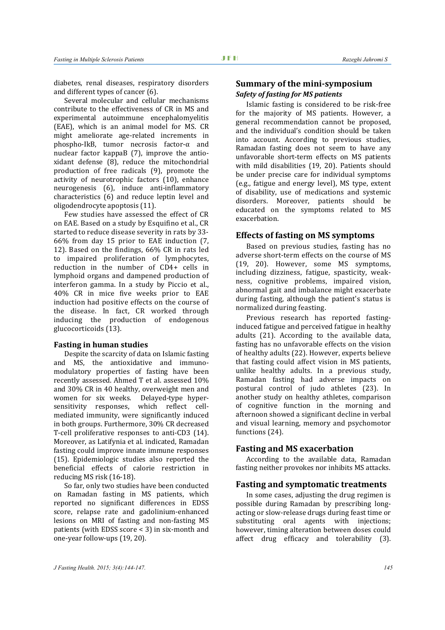diabetes, renal diseases, respiratory disorders and different types of cancer (6).

Several molecular and cellular mechanisms contribute to the effectiveness of CR in MS and experimental autoimmune encephalomyelitis (EAE), which is an animal model for MS. CR might ameliorate age-related increments in phospho-IkB, tumor necrosis factor-α and nuclear factor kappaB (7), improve the antioxidant defense (8), reduce the mitochondrial production of free radicals (9), promote the activity of neurotrophic factors (10), enhance neurogenesis (6), induce anti-inflammatory characteristics (6) and reduce leptin level and oligodendrocyte apoptosis (11).

Few studies have assessed the effect of CR on EAE. Based on a study by Esquifino et al., CR started to reduce disease severity in rats by 33- 66% from day 15 prior to EAE induction (7, 12). Based on the findings, 66% CR in rats led to impaired proliferation of lymphocytes, reduction in the number of CD4+ cells in lymphoid organs and dampened production of interferon gamma. In a study by Piccio et al., 40% CR in mice five weeks prior to EAE induction had positive effects on the course of the disease. In fact, CR worked through inducing the production of endogenous glucocorticoids (13).

#### **Fasting in human studies**

Despite the scarcity of data on Islamic fasting and MS, the antioxidative and immunomodulatory properties of fasting have been recently assessed. Ahmed T et al. assessed 10% and 30% CR in 40 healthy, overweight men and women for six weeks. Delayed-type hypersensitivity responses, which reflect cellmediated immunity, were significantly induced in both groups. Furthermore, 30% CR decreased T-cell proliferative responses to anti-CD3 (14). Moreover, as Latifynia et al. indicated, Ramadan fasting could improve innate immune responses (15). Epidemiologic studies also reported the beneficial effects of calorie restriction in reducing MS risk (16-18).

So far, only two studies have been conducted on Ramadan fasting in MS patients, which reported no significant differences in EDSS score, relapse rate and gadolinium-enhanced lesions on MRI of fasting and non-fasting MS patients (with EDSS score < 3) in six-month and one-year follow-ups (19, 20).

## **Summary of the mini-symposium**  *Safety of fasting for MS patients*

Islamic fasting is considered to be risk-free for the majority of MS patients. However, a general recommendation cannot be proposed, and the individual's condition should be taken into account. According to previous studies, Ramadan fasting does not seem to have any unfavorable short-term effects on MS patients with mild disabilities (19, 20). Patients should be under precise care for individual symptoms (e.g., fatigue and energy level), MS type, extent of disability, use of medications and systemic disorders. Moreover, patients should be educated on the symptoms related to MS exacerbation.

## **Effects of fasting on MS symptoms**

Based on previous studies, fasting has no adverse short-term effects on the course of MS (19, 20). However, some MS symptoms, including dizziness, fatigue, spasticity, weakness, cognitive problems, impaired vision, abnormal gait and imbalance might exacerbate during fasting, although the patient's status is normalized during feasting.

Previous research has reported fastinginduced fatigue and perceived fatigue in healthy adults (21). According to the available data, fasting has no unfavorable effects on the vision of healthy adults (22). However, experts believe that fasting could affect vision in MS patients, unlike healthy adults. In a previous study, Ramadan fasting had adverse impacts on postural control of judo athletes (23). In another study on healthy athletes, comparison of cognitive function in the morning and afternoon showed a significant decline in verbal and visual learning, memory and psychomotor functions (24).

### **Fasting and MS exacerbation**

According to the available data, Ramadan fasting neither provokes nor inhibits MS attacks.

#### **Fasting and symptomatic treatments**

In some cases, adjusting the drug regimen is possible during Ramadan by prescribing longacting or slow-release drugs during feast time or substituting oral agents with injections; however, timing alteration between doses could affect drug efficacy and tolerability (3).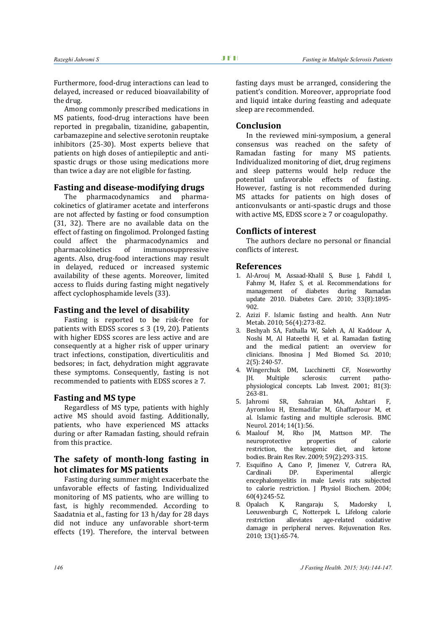Furthermore, food-drug interactions can lead to delayed, increased or reduced bioavailability of the drug.

Among commonly prescribed medications in MS patients, food-drug interactions have been reported in pregabalin, tizanidine, gabapentin, carbamazepine and selective serotonin reuptake inhibitors (25-30). Most experts believe that patients on high doses of antiepileptic and antispastic drugs or those using medications more than twice a day are not eligible for fasting.

## **Fasting and disease-modifying drugs**

The pharmacodynamics and pharmacokinetics of glatiramer acetate and interferons are not affected by fasting or food consumption (31, 32). There are no available data on the effect of fasting on fingolimod. Prolonged fasting could affect the pharmacodynamics and<br>pharmacokinetics of immunosuppressive immunosuppressive agents. Also, drug-food interactions may result in delayed, reduced or increased systemic availability of these agents. Moreover, limited access to fluids during fasting might negatively affect cyclophosphamide levels (33).

## **Fasting and the level of disability**

Fasting is reported to be risk-free for patients with EDSS scores  $\leq$  3 (19, 20). Patients with higher EDSS scores are less active and are consequently at a higher risk of upper urinary tract infections, constipation, diverticulitis and bedsores; in fact, dehydration might aggravate these symptoms. Consequently, fasting is not recommended to patients with EDSS scores ≥ 7.

#### **Fasting and MS type**

Regardless of MS type, patients with highly active MS should avoid fasting. Additionally, patients, who have experienced MS attacks during or after Ramadan fasting, should refrain from this practice.

## **The safety of month-long fasting in hot climates for MS patients**

Fasting during summer might exacerbate the unfavorable effects of fasting. Individualized monitoring of MS patients, who are willing to fast, is highly recommended. According to Saadatnia et al., fasting for 13 h/day for 28 days did not induce any unfavorable short-term effects (19). Therefore, the interval between fasting days must be arranged, considering the patient's condition. Moreover, appropriate food and liquid intake during feasting and adequate sleep are recommended.

## **Conclusion**

In the reviewed mini-symposium, a general consensus was reached on the safety of Ramadan fasting for many MS patients. Individualized monitoring of diet, drug regimens and sleep patterns would help reduce the potential unfavorable effects of fasting. However, fasting is not recommended during MS attacks for patients on high doses of anticonvulsants or anti-spastic drugs and those with active MS, EDSS score  $\geq 7$  or coagulopathy.

#### **Conflicts of interest**

The authors declare no personal or financial conflicts of interest.

## **References**

- 1. Al-Arouj M, Assaad-Khalil S, Buse J, Fahdil I, Fahmy M, Hafez S, et al. Recommendations for management of diabetes during Ramadan update 2010. Diabetes Care. 2010; 33(8):1895- 902.
- 2. Azizi F. Islamic fasting and health. Ann Nutr Metab. 2010; 56(4):273-82.
- 3. Beshyah SA, Fathalla W, Saleh A, Al Kaddour A, Noshi M, Al Hateethi H, et al. Ramadan fasting and the medical patient: an overview for clinicians. Ibnosina J Med Biomed Sci. 2010; 2(5): 240-57.
- 4. Wingerchuk DM, Lucchinetti CF, Noseworthy<br>IH. Multiple sclerosis: current patho-Multiple physiological concepts. Lab Invest. 2001; 81(3): 263-81.<br>5. Jahromi
- SR, Sahraian MA, Ashtari F. Ayromlou H, Etemadifar M, Ghaffarpour M, et al. Islamic fasting and multiple sclerosis. BMC Neurol. 2014; 14(1):56.
- 6. Maalouf M, Rho JM, Mattson MP. The neuroprotective restriction, the ketogenic diet, and ketone bodies. Brain Res Rev. 2009; 59(2):293-315.
- 7. Esquifino A, Cano P, Jimenez V, Cutrera RA, Cardinali DP. Experimental allergic encephalomyelitis in male Lewis rats subjected to calorie restriction. J Physiol Biochem. 2004;  $60(4):245-52.$ <br>8. Opalach K.
- Rangaraju S, Madorsky I, Leeuwenburgh C, Notterpek L. Lifelong calorie restriction alleviates age-related damage in peripheral nerves. Rejuvenation Res. 2010; 13(1):65-74.